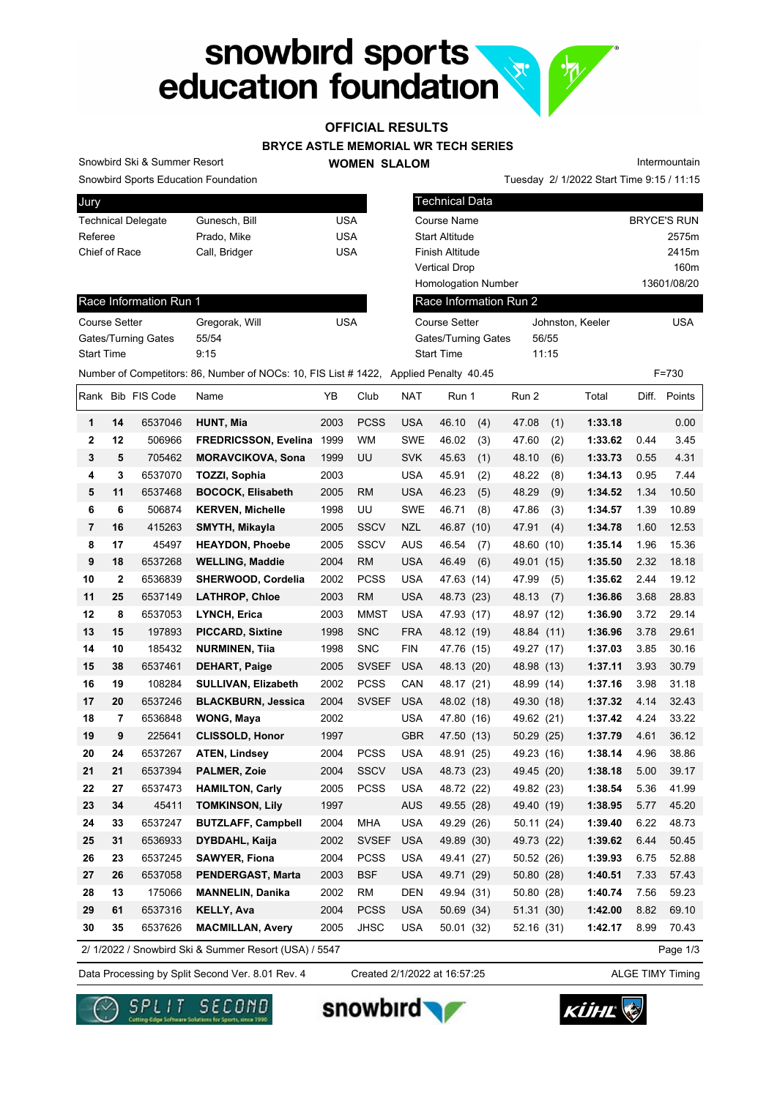## snowbird sports<br>education foundation

## **OFFICIAL RESULTS**

**BRYCE ASTLE MEMORIAL WR TECH SERIES**

**WOMEN SLALOM** 

Intermountain

Tuesday 2/ 1/2022 Start Time 9:15 / 11:15

Snowbird Sports Education Foundation

Snowbird Ski & Summer Resort

| Jury                      |               |     |
|---------------------------|---------------|-----|
| <b>Technical Delegate</b> | Gunesch, Bill | USA |
| Referee                   | Prado, Mike   | USA |
| Chief of Race             | Call, Bridger | USA |
|                           |               |     |

| Jury                                                                                 |                |            |            | <b>Technical Data</b>      |       |                  |       |                    |
|--------------------------------------------------------------------------------------|----------------|------------|------------|----------------------------|-------|------------------|-------|--------------------|
| <b>Technical Delegate</b>                                                            | Gunesch, Bill  | <b>USA</b> |            | Course Name                |       |                  |       | <b>BRYCE'S RUN</b> |
| Referee                                                                              | Prado, Mike    | <b>USA</b> |            | <b>Start Altitude</b>      |       |                  |       | 2575m              |
| Chief of Race                                                                        | Call, Bridger  | <b>USA</b> |            | <b>Finish Altitude</b>     |       |                  |       | 2415m              |
|                                                                                      |                |            |            | <b>Vertical Drop</b>       |       |                  |       | 160 <sub>m</sub>   |
|                                                                                      |                |            |            | <b>Homologation Number</b> |       |                  |       | 13601/08/20        |
| Race Information Run 1                                                               |                |            |            | Race Information Run 2     |       |                  |       |                    |
| Course Setter                                                                        | Gregorak, Will | <b>USA</b> |            | Course Setter              |       | Johnston, Keeler |       | <b>USA</b>         |
| Gates/Turning Gates                                                                  | 55/54          |            |            | <b>Gates/Turning Gates</b> | 56/55 |                  |       |                    |
| <b>Start Time</b>                                                                    | 9:15           |            |            | <b>Start Time</b>          | 11:15 |                  |       |                    |
| Number of Competitors: 86, Number of NOCs: 10, FIS List #1422, Applied Penalty 40.45 |                |            |            |                            |       |                  |       | $F = 730$          |
| Rank Bib FIS Code                                                                    | Name           | YB<br>Club | <b>NAT</b> | Run 1                      | Run 2 | Total            | Diff. | Points             |
|                                                                                      |                |            |            |                            |       |                  |       |                    |

| <b>Course Setter</b>       | Gregorak, Will | USA |
|----------------------------|----------------|-----|
| <b>Gates/Turning Gates</b> | 55/54          |     |
| <b>Start Time</b>          | 9:15           |     |

|    |                         | Rank Bib FIS Code | Name                                                  | YΒ   | Club         | <b>NAT</b> | Run 1        | Run 2         | Total   | Diff. | Points   |
|----|-------------------------|-------------------|-------------------------------------------------------|------|--------------|------------|--------------|---------------|---------|-------|----------|
| 1  | 14                      | 6537046           | HUNT, Mia                                             | 2003 | <b>PCSS</b>  | <b>USA</b> | 46.10<br>(4) | 47.08<br>(1)  | 1:33.18 |       | 0.00     |
| 2  | 12                      | 506966            | <b>FREDRICSSON, Evelina</b>                           | 1999 | <b>WM</b>    | <b>SWE</b> | 46.02<br>(3) | 47.60<br>(2)  | 1:33.62 | 0.44  | 3.45     |
| 3  | 5                       | 705462            | <b>MORAVCIKOVA, Sona</b>                              | 1999 | UU           | <b>SVK</b> | 45.63<br>(1) | 48.10<br>(6)  | 1:33.73 | 0.55  | 4.31     |
| 4  | 3                       | 6537070           | <b>TOZZI, Sophia</b>                                  | 2003 |              | <b>USA</b> | 45.91<br>(2) | 48.22<br>(8)  | 1:34.13 | 0.95  | 7.44     |
| 5  | 11                      | 6537468           | <b>BOCOCK, Elisabeth</b>                              | 2005 | <b>RM</b>    | <b>USA</b> | 46.23<br>(5) | 48.29<br>(9)  | 1:34.52 | 1.34  | 10.50    |
| 6  | 6                       | 506874            | <b>KERVEN, Michelle</b>                               | 1998 | UU           | <b>SWE</b> | 46.71<br>(8) | 47.86<br>(3)  | 1:34.57 | 1.39  | 10.89    |
| 7  | 16                      | 415263            | SMYTH, Mikayla                                        | 2005 | <b>SSCV</b>  | <b>NZL</b> | 46.87 (10)   | 47.91<br>(4)  | 1:34.78 | 1.60  | 12.53    |
| 8  | 17                      | 45497             | <b>HEAYDON, Phoebe</b>                                | 2005 | <b>SSCV</b>  | <b>AUS</b> | 46.54<br>(7) | 48.60<br>(10) | 1:35.14 | 1.96  | 15.36    |
| 9  | 18                      | 6537268           | <b>WELLING, Maddie</b>                                | 2004 | <b>RM</b>    | <b>USA</b> | 46.49<br>(6) | 49.01 (15)    | 1:35.50 | 2.32  | 18.18    |
| 10 | $\overline{\mathbf{2}}$ | 6536839           | SHERWOOD, Cordelia                                    | 2002 | <b>PCSS</b>  | <b>USA</b> | 47.63 (14)   | 47.99<br>(5)  | 1:35.62 | 2.44  | 19.12    |
| 11 | 25                      | 6537149           | <b>LATHROP, Chloe</b>                                 | 2003 | <b>RM</b>    | <b>USA</b> | 48.73 (23)   | 48.13<br>(7)  | 1:36.86 | 3.68  | 28.83    |
| 12 | 8                       | 6537053           | LYNCH, Erica                                          | 2003 | <b>MMST</b>  | <b>USA</b> | 47.93 (17)   | 48.97 (12)    | 1:36.90 | 3.72  | 29.14    |
| 13 | 15                      | 197893            | <b>PICCARD, Sixtine</b>                               | 1998 | <b>SNC</b>   | <b>FRA</b> | 48.12 (19)   | 48.84 (11)    | 1:36.96 | 3.78  | 29.61    |
| 14 | 10                      | 185432            | <b>NURMINEN, Tiia</b>                                 | 1998 | <b>SNC</b>   | <b>FIN</b> | 47.76 (15)   | 49.27 (17)    | 1:37.03 | 3.85  | 30.16    |
| 15 | 38                      | 6537461           | <b>DEHART, Paige</b>                                  | 2005 | <b>SVSEF</b> | <b>USA</b> | 48.13 (20)   | 48.98 (13)    | 1:37.11 | 3.93  | 30.79    |
| 16 | 19                      | 108284            | <b>SULLIVAN, Elizabeth</b>                            | 2002 | <b>PCSS</b>  | CAN        | 48.17 (21)   | 48.99 (14)    | 1:37.16 | 3.98  | 31.18    |
| 17 | 20                      | 6537246           | <b>BLACKBURN, Jessica</b>                             | 2004 | <b>SVSEF</b> | <b>USA</b> | 48.02 (18)   | 49.30 (18)    | 1:37.32 | 4.14  | 32.43    |
| 18 | 7                       | 6536848           | <b>WONG, Maya</b>                                     | 2002 |              | <b>USA</b> | 47.80 (16)   | 49.62 (21)    | 1:37.42 | 4.24  | 33.22    |
| 19 | 9                       | 225641            | <b>CLISSOLD, Honor</b>                                | 1997 |              | <b>GBR</b> | 47.50 (13)   | 50.29 (25)    | 1:37.79 | 4.61  | 36.12    |
| 20 | 24                      | 6537267           | <b>ATEN, Lindsey</b>                                  | 2004 | <b>PCSS</b>  | <b>USA</b> | 48.91 (25)   | 49.23 (16)    | 1:38.14 | 4.96  | 38.86    |
| 21 | 21                      | 6537394           | <b>PALMER, Zoie</b>                                   | 2004 | <b>SSCV</b>  | <b>USA</b> | 48.73 (23)   | 49.45 (20)    | 1:38.18 | 5.00  | 39.17    |
| 22 | 27                      | 6537473           | <b>HAMILTON, Carly</b>                                | 2005 | <b>PCSS</b>  | <b>USA</b> | 48.72 (22)   | 49.82 (23)    | 1:38.54 | 5.36  | 41.99    |
| 23 | 34                      | 45411             | <b>TOMKINSON, Lily</b>                                | 1997 |              | <b>AUS</b> | 49.55 (28)   | 49.40 (19)    | 1:38.95 | 5.77  | 45.20    |
| 24 | 33                      | 6537247           | <b>BUTZLAFF, Campbell</b>                             | 2004 | <b>MHA</b>   | <b>USA</b> | 49.29 (26)   | 50.11 (24)    | 1:39.40 | 6.22  | 48.73    |
| 25 | 31                      | 6536933           | DYBDAHL, Kaija                                        | 2002 | <b>SVSEF</b> | <b>USA</b> | 49.89 (30)   | 49.73 (22)    | 1:39.62 | 6.44  | 50.45    |
| 26 | 23                      | 6537245           | <b>SAWYER, Fiona</b>                                  | 2004 | <b>PCSS</b>  | USA        | 49.41 (27)   | 50.52 (26)    | 1:39.93 | 6.75  | 52.88    |
| 27 | 26                      | 6537058           | PENDERGAST, Marta                                     | 2003 | BSF          | <b>USA</b> | 49.71 (29)   | 50.80 (28)    | 1:40.51 | 7.33  | 57.43    |
| 28 | 13                      | 175066            | <b>MANNELIN, Danika</b>                               | 2002 | <b>RM</b>    | <b>DEN</b> | 49.94 (31)   | 50.80<br>(28) | 1:40.74 | 7.56  | 59.23    |
| 29 | 61                      | 6537316           | <b>KELLY, Ava</b>                                     | 2004 | <b>PCSS</b>  | <b>USA</b> | 50.69 (34)   | 51.31 (30)    | 1:42.00 | 8.82  | 69.10    |
| 30 | 35                      | 6537626           | <b>MACMILLAN, Avery</b>                               | 2005 | <b>JHSC</b>  | <b>USA</b> | 50.01 (32)   | 52.16 (31)    | 1:42.17 | 8.99  | 70.43    |
|    |                         |                   | 2/ 1/2022 / Snowbird Ski & Summer Resort (USA) / 5547 |      |              |            |              |               |         |       | Page 1/3 |

Data Processing by Split Second Ver. 8.01 Rev. 4 Created 2/1/2022 at 16:57:25 ALGE TIMY Timing

Created 2/1/2022 at 16:57:25







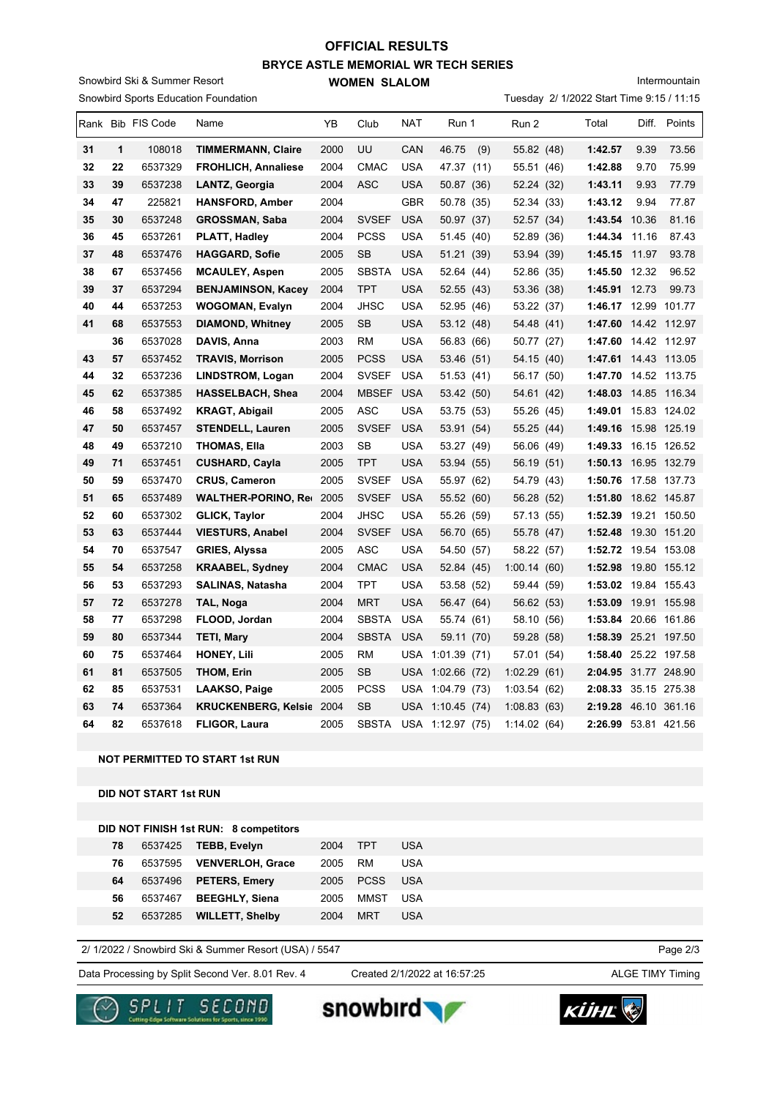## **BRYCE ASTLE MEMORIAL WR TECH SERIES WOMEN SLALOM OFFICIAL RESULTS**

Snowbird Sports Education Foundation Snowbird Ski & Summer Resort

Intermountain

Tuesday 2/ 1/2022 Start Time 9:15 / 11:15

|    |              | Rank Bib FIS Code | Name                            | ΥB   | Club         | NAT        | Run 1            | Run 2       | Total |         | Diff.         | Points               |
|----|--------------|-------------------|---------------------------------|------|--------------|------------|------------------|-------------|-------|---------|---------------|----------------------|
| 31 | $\mathbf{1}$ | 108018            | <b>TIMMERMANN, Claire</b>       | 2000 | UU           | CAN        | (9)<br>46.75     | 55.82 (48)  |       | 1:42.57 | 9.39          | 73.56                |
| 32 | 22           | 6537329           | FROHLICH, Annaliese             | 2004 | <b>CMAC</b>  | <b>USA</b> | 47.37 (11)       | 55.51 (46)  |       | 1:42.88 | 9.70          | 75.99                |
| 33 | 39           | 6537238           | <b>LANTZ, Georgia</b>           | 2004 | ASC          | <b>USA</b> | 50.87 (36)       | 52.24 (32)  |       | 1:43.11 | 9.93          | 77.79                |
| 34 | 47           | 225821            | <b>HANSFORD, Amber</b>          | 2004 |              | <b>GBR</b> | 50.78 (35)       | 52.34 (33)  |       | 1:43.12 | 9.94          | 77.87                |
| 35 | 30           | 6537248           | <b>GROSSMAN, Saba</b>           | 2004 | <b>SVSEF</b> | <b>USA</b> | 50.97 (37)       | 52.57 (34)  |       | 1:43.54 | 10.36         | 81.16                |
| 36 | 45           | 6537261           | <b>PLATT, Hadley</b>            | 2004 | <b>PCSS</b>  | <b>USA</b> | 51.45 (40)       | 52.89 (36)  |       | 1:44.34 | 11.16         | 87.43                |
| 37 | 48           | 6537476           | <b>HAGGARD, Sofie</b>           | 2005 | <b>SB</b>    | <b>USA</b> | 51.21 (39)       | 53.94 (39)  |       | 1:45.15 | 11.97         | 93.78                |
| 38 | 67           | 6537456           | <b>MCAULEY, Aspen</b>           | 2005 | <b>SBSTA</b> | USA        | 52.64 (44)       | 52.86 (35)  |       |         | 1:45.50 12.32 | 96.52                |
| 39 | 37           | 6537294           | <b>BENJAMINSON, Kacey</b>       | 2004 | <b>TPT</b>   | <b>USA</b> | 52.55 (43)       | 53.36 (38)  |       |         | 1:45.91 12.73 | 99.73                |
| 40 | 44           | 6537253           | <b>WOGOMAN, Evalyn</b>          | 2004 | <b>JHSC</b>  | <b>USA</b> | 52.95 (46)       | 53.22 (37)  |       |         |               | 1:46.17 12.99 101.77 |
| 41 | 68           | 6537553           | <b>DIAMOND, Whitney</b>         | 2005 | <b>SB</b>    | <b>USA</b> | 53.12 (48)       | 54.48 (41)  |       |         |               | 1:47.60 14.42 112.97 |
|    | 36           | 6537028           | DAVIS, Anna                     | 2003 | RM           | <b>USA</b> | 56.83 (66)       | 50.77 (27)  |       |         |               | 1:47.60 14.42 112.97 |
| 43 | 57           | 6537452           | <b>TRAVIS, Morrison</b>         | 2005 | <b>PCSS</b>  | <b>USA</b> | 53.46 (51)       | 54.15 (40)  |       |         |               | 1:47.61 14.43 113.05 |
| 44 | 32           | 6537236           | LINDSTROM, Logan                | 2004 | <b>SVSEF</b> | <b>USA</b> | 51.53(41)        | 56.17 (50)  |       |         |               | 1:47.70 14.52 113.75 |
| 45 | 62           | 6537385           | <b>HASSELBACH, Shea</b>         | 2004 | MBSEF USA    |            | 53.42 (50)       | 54.61 (42)  |       |         |               | 1:48.03 14.85 116.34 |
| 46 | 58           | 6537492           | <b>KRAGT, Abigail</b>           | 2005 | <b>ASC</b>   | <b>USA</b> | 53.75 (53)       | 55.26 (45)  |       |         |               | 1:49.01 15.83 124.02 |
| 47 | 50           | 6537457           | <b>STENDELL, Lauren</b>         | 2005 | <b>SVSEF</b> | <b>USA</b> | 53.91 (54)       | 55.25 (44)  |       | 1:49.16 |               | 15.98 125.19         |
| 48 | 49           | 6537210           | <b>THOMAS, Ella</b>             | 2003 | <b>SB</b>    | <b>USA</b> | 53.27 (49)       | 56.06 (49)  |       |         |               | 1:49.33 16.15 126.52 |
| 49 | 71           | 6537451           | <b>CUSHARD, Cayla</b>           | 2005 | <b>TPT</b>   | <b>USA</b> | 53.94 (55)       | 56.19 (51)  |       |         |               | 1:50.13 16.95 132.79 |
| 50 | 59           | 6537470           | <b>CRUS, Cameron</b>            | 2005 | <b>SVSEF</b> | <b>USA</b> | 55.97 (62)       | 54.79 (43)  |       |         |               | 1:50.76 17.58 137.73 |
| 51 | 65           | 6537489           | <b>WALTHER-PORINO, Red</b>      | 2005 | <b>SVSEF</b> | <b>USA</b> | 55.52 (60)       | 56.28 (52)  |       |         |               | 1:51.80 18.62 145.87 |
| 52 | 60           | 6537302           | <b>GLICK, Taylor</b>            | 2004 | <b>JHSC</b>  | <b>USA</b> | 55.26 (59)       | 57.13 (55)  |       |         |               | 1:52.39 19.21 150.50 |
| 53 | 63           | 6537444           | <b>VIESTURS, Anabel</b>         | 2004 | <b>SVSEF</b> | <b>USA</b> | 56.70 (65)       | 55.78 (47)  |       |         |               | 1:52.48 19.30 151.20 |
| 54 | 70           | 6537547           | <b>GRIES, Alyssa</b>            | 2005 | <b>ASC</b>   | <b>USA</b> | 54.50 (57)       | 58.22 (57)  |       |         |               | 1:52.72 19.54 153.08 |
| 55 | 54           | 6537258           | <b>KRAABEL, Sydney</b>          | 2004 | <b>CMAC</b>  | <b>USA</b> | 52.84 (45)       | 1:00.14(60) |       | 1:52.98 |               | 19.80 155.12         |
| 56 | 53           | 6537293           | <b>SALINAS, Natasha</b>         | 2004 | <b>TPT</b>   | <b>USA</b> | 53.58 (52)       | 59.44 (59)  |       |         |               | 1:53.02 19.84 155.43 |
| 57 | 72           | 6537278           | TAL, Noga                       | 2004 | <b>MRT</b>   | <b>USA</b> | 56.47 (64)       | 56.62 (53)  |       | 1:53.09 |               | 19.91 155.98         |
| 58 | 77           | 6537298           | FLOOD, Jordan                   | 2004 | <b>SBSTA</b> | <b>USA</b> | 55.74 (61)       | 58.10 (56)  |       |         |               | 1:53.84 20.66 161.86 |
| 59 | 80           | 6537344           | <b>TETI, Mary</b>               | 2004 | <b>SBSTA</b> | <b>USA</b> | 59.11 (70)       | 59.28 (58)  |       |         |               | 1:58.39 25.21 197.50 |
| 60 | 75           | 6537464           | HONEY, Lili                     | 2005 | <b>RM</b>    |            | USA 1:01.39 (71) | 57.01 (54)  |       |         |               | 1:58.40 25.22 197.58 |
| 61 | 81           | 6537505           | <b>THOM, Erin</b>               | 2005 | <b>SB</b>    | <b>USA</b> | 1:02.66 (72)     | 1:02.29(61) |       |         |               | 2:04.95 31.77 248.90 |
| 62 | 85           | 6537531           | LAAKSO, Paige                   | 2005 | <b>PCSS</b>  |            | USA 1:04.79 (73) | 1:03.54(62) |       |         |               | 2:08.33 35.15 275.38 |
| 63 | 74           | 6537364           | <b>KRUCKENBERG, Kelsie 2004</b> |      | <b>SB</b>    | <b>USA</b> | 1:10.45(74)      | 1:08.83(63) |       | 2:19.28 |               | 46.10 361.16         |
| 64 | 82           | 6537618           | <b>FLIGOR, Laura</b>            | 2005 | <b>SBSTA</b> |            | USA 1:12.97 (75) | 1:14.02(64) |       |         |               | 2:26.99 53.81 421.56 |

**NOT PERMITTED TO START 1st RUN**

**DID NOT START 1st RUN**

| DID NOT FINISH 1st RUN: 8 competitors |  |
|---------------------------------------|--|
|---------------------------------------|--|

| 78 |         | 6537425 TEBB, Evelyn    | 2004 | <b>TPT</b>  | USA |
|----|---------|-------------------------|------|-------------|-----|
| 76 | 6537595 | <b>VENVERLOH, Grace</b> | 2005 | RM          | USA |
| 64 | 6537496 | <b>PETERS, Emery</b>    | 2005 | <b>PCSS</b> | USA |
| 56 | 6537467 | <b>BEEGHLY, Siena</b>   | 2005 | MMST        | USA |
| 52 | 6537285 | <b>WILLETT, Shelby</b>  | 2004 | <b>MRT</b>  | USA |

2/ 1/2022 / Snowbird Ski & Summer Resort (USA) / 5547

Data Processing by Split Second Ver. 8.01 Rev. 4 Created 2/1/2022 at 16:57:25 ALGE TIMY Timing

Created 2/1/2022 at 16:57:25

snowbird

Page 2/3